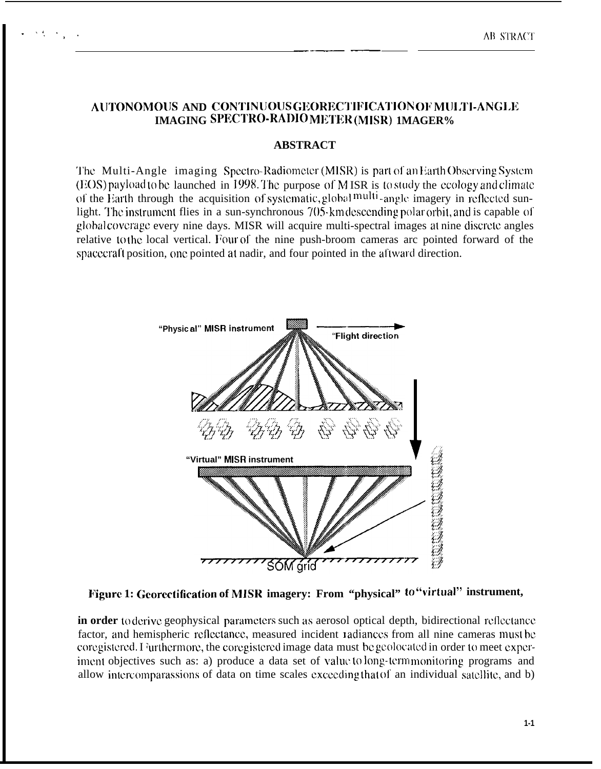## AUTONOMOUS AND CONTINUOUS GEORECTIFICATION OF MULTI-ANGLE **IMAGING SPECTRO-RADIO METER (MISR) 1MAGER%**

## **ABSTRACT**

The Multi-Angle imaging Spectro-Radiometer (MISR) is part of an Earth Observing System (EOS) payload to be launched in 1998. The purpose of M ISR is to study the ecology and climate of the Earth through the acquisition of systematic, global multi-angle imagery in reflected sunlight. The instrument flies in a sun-synchronous 705-km descending polar orbit, and is capable of global coverage every nine days. MISR will acquire multi-spectral images at nine discrete angles relative to the local vertical. Four of the nine push-broom cameras arc pointed forward of the spacecraft position, one pointed at nadir, and four pointed in the aftward direction.



Figure 1: Georectification of MISR imagery: From "physical" to "virtual" instrument,

in order toderive geophysical parameters such as aerosol optical depth, bidirectional reflectance factor, and hemispheric reflectance, measured incident radiances from all nine cameras must be coregistered. I furthermore, the coregistered image data must be geolocated in order to meet experiment objectives such as: a) produce a data set of value to long-term monitoring programs and allow intercomparassions of data on time scales exceeding that of an individual satellite, and b)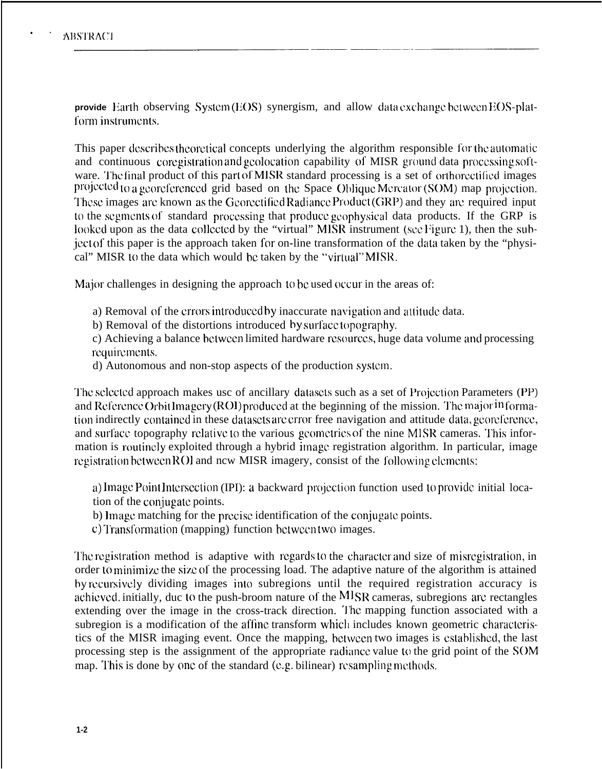. .

**provide** Earth observing System (EOS) synergism, and allow data exchange between EOS-platform instruments.

This paper describes theoretical concepts underlying the algorithm responsible for the automatic and continuous coregistration and geolocation capability of MISR ground data processing software. The final product of this part of MISR standard processing is a set of orthorectified images projected to a georeferenced grid based on the Space Oblique Mercator (SOM) map projection. These images arc known as the Georectified Radiance Product (GRP) and they are required input to the segments of standard processing that produce geophysical data products. If the GRP is looked upon as the data collected by the "virtual" MISR instrument (see Figure 1), then the subject of this paper is the approach taken for on-line transformation of the data taken by the "physical" MISR to the data which would be taken by the "virtual" MISR.

Major challenges in designing the approach to be used occur in the areas of:

- a) Removal of the errors introduced by inaccurate navigation and attitude data.
- b) Removal of the distortions introduced by surface topography.
- c) Achieving a balance bctwccn limited hardware rcsourccs, huge data volume and processing requirements.
- d) Autonomous and non-stop aspects of the production systm.

The selected approach makes usc of ancillary datasets such as a set of Projection Parameters (PP) and Reference Orbit Imagery (RO1) produced at the beginning of the mission. The major in formation indirectly contained in these datasets are crior free navigation and attitude data, georeference, and surface topography relative to the various geometries of the nine MISR cameras. This information is routinely exploited through a hybrid image registration algorithm. In particular, image registration between ROI and new MISR imagery, consist of the following elements:

a) Image Point Intersection (IPI): a backward projection function used to provide initial location of the conjugate points.

- b) Image matching for the precise identification of the conjugate points.
- c) Transformation (mapping) function between two images.

The registration method is adaptive with regards to the character and size of misregistration, in order to minimize the size of the processing load. The adaptive nature of the algorithm is attained by recursively dividing images into subregions until the required registration accuracy is achieved. initially, duc to the push-broom nature of the MISR cameras, subregions are rectangles extending over the image in the cross-track direction. The mapping function associated with a subregion is a modification of the affine transform which includes known geometric characteristics of the MISR imaging event. Once the mapping, bctwccn two images is csiablishcd, the last processing step is the assignment of the appropriate radiance value to the grid point of the SOM map. This is done by one of the standard (e.g. bilinear) resampling methods.